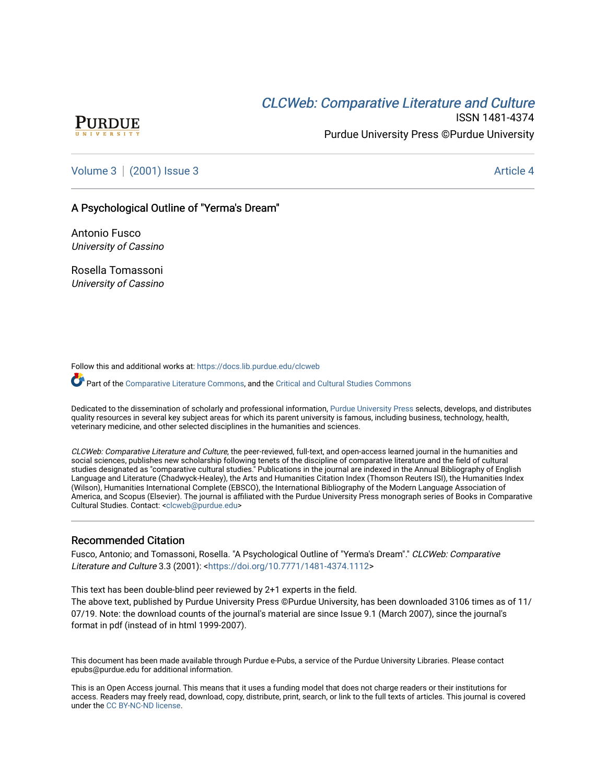# CLCW[eb: Comparative Liter](https://docs.lib.purdue.edu/clcweb)ature and Culture



ISSN 1481-4374 Purdue University Press ©Purdue University

[Volume 3](https://docs.lib.purdue.edu/clcweb/vol3) | [\(2001\) Issue 3](https://docs.lib.purdue.edu/clcweb/vol3/iss3) Article 4

## A Psychological Outline of "Yerma's Dream"

Antonio Fusco University of Cassino

Rosella Tomassoni University of Cassino

Follow this and additional works at: [https://docs.lib.purdue.edu/clcweb](https://docs.lib.purdue.edu/clcweb?utm_source=docs.lib.purdue.edu%2Fclcweb%2Fvol3%2Fiss3%2F4&utm_medium=PDF&utm_campaign=PDFCoverPages)

Part of the [Comparative Literature Commons,](http://network.bepress.com/hgg/discipline/454?utm_source=docs.lib.purdue.edu%2Fclcweb%2Fvol3%2Fiss3%2F4&utm_medium=PDF&utm_campaign=PDFCoverPages) and the [Critical and Cultural Studies Commons](http://network.bepress.com/hgg/discipline/328?utm_source=docs.lib.purdue.edu%2Fclcweb%2Fvol3%2Fiss3%2F4&utm_medium=PDF&utm_campaign=PDFCoverPages) 

Dedicated to the dissemination of scholarly and professional information, [Purdue University Press](http://www.thepress.purdue.edu/) selects, develops, and distributes quality resources in several key subject areas for which its parent university is famous, including business, technology, health, veterinary medicine, and other selected disciplines in the humanities and sciences.

CLCWeb: Comparative Literature and Culture, the peer-reviewed, full-text, and open-access learned journal in the humanities and social sciences, publishes new scholarship following tenets of the discipline of comparative literature and the field of cultural studies designated as "comparative cultural studies." Publications in the journal are indexed in the Annual Bibliography of English Language and Literature (Chadwyck-Healey), the Arts and Humanities Citation Index (Thomson Reuters ISI), the Humanities Index (Wilson), Humanities International Complete (EBSCO), the International Bibliography of the Modern Language Association of America, and Scopus (Elsevier). The journal is affiliated with the Purdue University Press monograph series of Books in Comparative Cultural Studies. Contact: [<clcweb@purdue.edu](mailto:clcweb@purdue.edu)>

## Recommended Citation

Fusco, Antonio; and Tomassoni, Rosella. "A Psychological Outline of "Yerma's Dream"." CLCWeb: Comparative Literature and Culture 3.3 (2001): [<https://doi.org/10.7771/1481-4374.1112](https://doi.org/10.7771/1481-4374.1112)>

This text has been double-blind peer reviewed by 2+1 experts in the field.

The above text, published by Purdue University Press ©Purdue University, has been downloaded 3106 times as of 11/ 07/19. Note: the download counts of the journal's material are since Issue 9.1 (March 2007), since the journal's format in pdf (instead of in html 1999-2007).

This document has been made available through Purdue e-Pubs, a service of the Purdue University Libraries. Please contact epubs@purdue.edu for additional information.

This is an Open Access journal. This means that it uses a funding model that does not charge readers or their institutions for access. Readers may freely read, download, copy, distribute, print, search, or link to the full texts of articles. This journal is covered under the [CC BY-NC-ND license.](https://creativecommons.org/licenses/by-nc-nd/4.0/)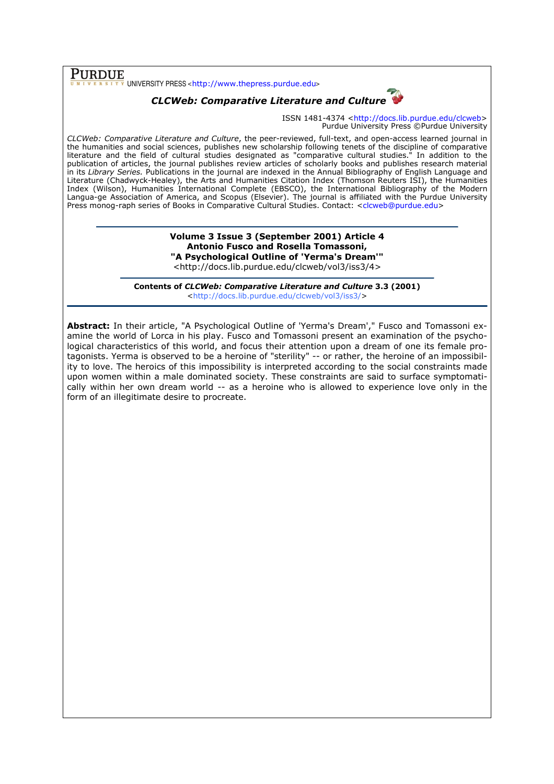**PURDUE**<br>
UNIVERSITY PRESS <http://www.thepress.purdue.edu>

## CLCWeb: Comparative Literature and Culture

ISSN 1481-4374 <http://docs.lib.purdue.edu/clcweb> Purdue University Press ©Purdue University

CLCWeb: Comparative Literature and Culture, the peer-reviewed, full-text, and open-access learned journal in the humanities and social sciences, publishes new scholarship following tenets of the discipline of comparative literature and the field of cultural studies designated as "comparative cultural studies." In addition to the publication of articles, the journal publishes review articles of scholarly books and publishes research material in its Library Series. Publications in the journal are indexed in the Annual Bibliography of English Language and Literature (Chadwyck-Healey), the Arts and Humanities Citation Index (Thomson Reuters ISI), the Humanities Index (Wilson), Humanities International Complete (EBSCO), the International Bibliography of the Modern Langua-ge Association of America, and Scopus (Elsevier). The journal is affiliated with the Purdue University Press monog-raph series of Books in Comparative Cultural Studies. Contact: <clcweb@purdue.edu>

> Volume 3 Issue 3 (September 2001) Article 4 Antonio Fusco and Rosella Tomassoni, "A Psychological Outline of 'Yerma's Dream'" <http://docs.lib.purdue.edu/clcweb/vol3/iss3/4>

Contents of CLCWeb: Comparative Literature and Culture 3.3 (2001) <http://docs.lib.purdue.edu/clcweb/vol3/iss3/>

Abstract: In their article, "A Psychological Outline of 'Yerma's Dream'," Fusco and Tomassoni examine the world of Lorca in his play. Fusco and Tomassoni present an examination of the psychological characteristics of this world, and focus their attention upon a dream of one its female protagonists. Yerma is observed to be a heroine of "sterility" -- or rather, the heroine of an impossibility to love. The heroics of this impossibility is interpreted according to the social constraints made upon women within a male dominated society. These constraints are said to surface symptomatically within her own dream world -- as a heroine who is allowed to experience love only in the form of an illegitimate desire to procreate.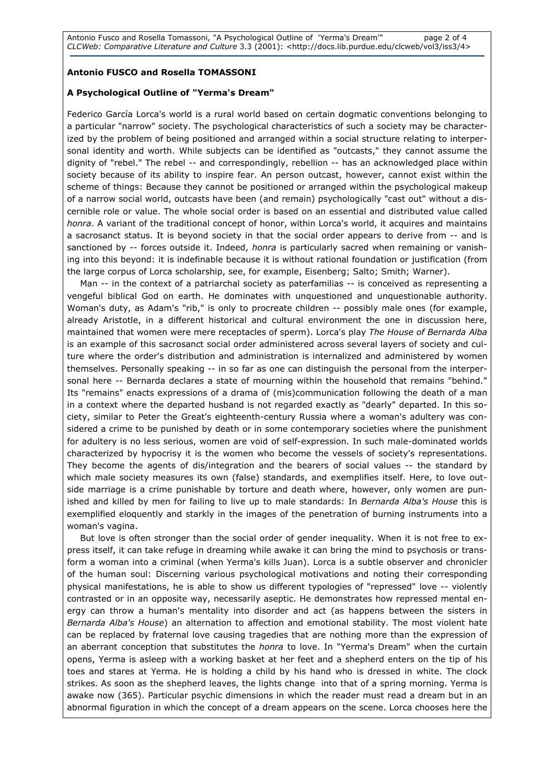## Antonio FUSCO and Rosella TOMASSONI

## A Psychological Outline of "Yerma's Dream"

Federico García Lorca's world is a rural world based on certain dogmatic conventions belonging to a particular "narrow" society. The psychological characteristics of such a society may be characterized by the problem of being positioned and arranged within a social structure relating to interpersonal identity and worth. While subjects can be identified as "outcasts," they cannot assume the dignity of "rebel." The rebel -- and correspondingly, rebellion -- has an acknowledged place within society because of its ability to inspire fear. An person outcast, however, cannot exist within the scheme of things: Because they cannot be positioned or arranged within the psychological makeup of a narrow social world, outcasts have been (and remain) psychologically "cast out" without a discernible role or value. The whole social order is based on an essential and distributed value called honra. A variant of the traditional concept of honor, within Lorca's world, it acquires and maintains a sacrosanct status. It is beyond society in that the social order appears to derive from -- and is sanctioned by -- forces outside it. Indeed, honra is particularly sacred when remaining or vanishing into this beyond: it is indefinable because it is without rational foundation or justification (from the large corpus of Lorca scholarship, see, for example, Eisenberg; Salto; Smith; Warner).

Man -- in the context of a patriarchal society as paterfamilias -- is conceived as representing a vengeful biblical God on earth. He dominates with unquestioned and unquestionable authority. Woman's duty, as Adam's "rib," is only to procreate children -- possibly male ones (for example, already Aristotle, in a different historical and cultural environment the one in discussion here, maintained that women were mere receptacles of sperm). Lorca's play The House of Bernarda Alba is an example of this sacrosanct social order administered across several layers of society and culture where the order's distribution and administration is internalized and administered by women themselves. Personally speaking -- in so far as one can distinguish the personal from the interpersonal here -- Bernarda declares a state of mourning within the household that remains "behind." Its "remains" enacts expressions of a drama of (mis)communication following the death of a man in a context where the departed husband is not regarded exactly as "dearly" departed. In this society, similar to Peter the Great's eighteenth-century Russia where a woman's adultery was considered a crime to be punished by death or in some contemporary societies where the punishment for adultery is no less serious, women are void of self-expression. In such male-dominated worlds characterized by hypocrisy it is the women who become the vessels of society's representations. They become the agents of dis/integration and the bearers of social values -- the standard by which male society measures its own (false) standards, and exemplifies itself. Here, to love outside marriage is a crime punishable by torture and death where, however, only women are punished and killed by men for failing to live up to male standards: In Bernarda Alba's House this is exemplified eloquently and starkly in the images of the penetration of burning instruments into a woman's vagina.

But love is often stronger than the social order of gender inequality. When it is not free to express itself, it can take refuge in dreaming while awake it can bring the mind to psychosis or transform a woman into a criminal (when Yerma's kills Juan). Lorca is a subtle observer and chronicler of the human soul: Discerning various psychological motivations and noting their corresponding physical manifestations, he is able to show us different typologies of "repressed" love -- violently contrasted or in an opposite way, necessarily aseptic. He demonstrates how repressed mental energy can throw a human's mentality into disorder and act (as happens between the sisters in Bernarda Alba's House) an alternation to affection and emotional stability. The most violent hate can be replaced by fraternal love causing tragedies that are nothing more than the expression of an aberrant conception that substitutes the honra to love. In "Yerma's Dream" when the curtain opens, Yerma is asleep with a working basket at her feet and a shepherd enters on the tip of his toes and stares at Yerma. He is holding a child by his hand who is dressed in white. The clock strikes. As soon as the shepherd leaves, the lights change into that of a spring morning. Yerma is awake now (365). Particular psychic dimensions in which the reader must read a dream but in an abnormal figuration in which the concept of a dream appears on the scene. Lorca chooses here the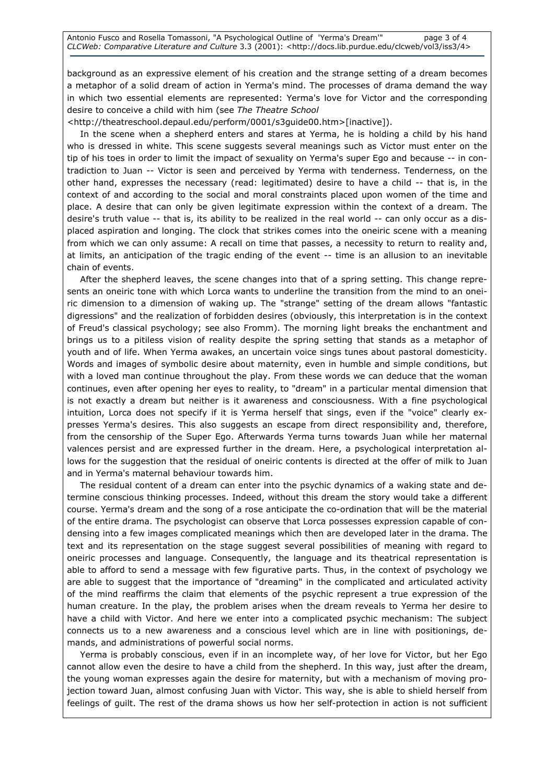background as an expressive element of his creation and the strange setting of a dream becomes a metaphor of a solid dream of action in Yerma's mind. The processes of drama demand the way in which two essential elements are represented: Yerma's love for Victor and the corresponding desire to conceive a child with him (see The Theatre School

<http://theatreschool.depaul.edu/perform/0001/s3guide00.htm>[inactive]).

In the scene when a shepherd enters and stares at Yerma, he is holding a child by his hand who is dressed in white. This scene suggests several meanings such as Victor must enter on the tip of his toes in order to limit the impact of sexuality on Yerma's super Ego and because -- in contradiction to Juan -- Victor is seen and perceived by Yerma with tenderness. Tenderness, on the other hand, expresses the necessary (read: legitimated) desire to have a child -- that is, in the context of and according to the social and moral constraints placed upon women of the time and place. A desire that can only be given legitimate expression within the context of a dream. The desire's truth value -- that is, its ability to be realized in the real world -- can only occur as a displaced aspiration and longing. The clock that strikes comes into the oneiric scene with a meaning from which we can only assume: A recall on time that passes, a necessity to return to reality and, at limits, an anticipation of the tragic ending of the event -- time is an allusion to an inevitable chain of events.

After the shepherd leaves, the scene changes into that of a spring setting. This change represents an oneiric tone with which Lorca wants to underline the transition from the mind to an oneiric dimension to a dimension of waking up. The "strange" setting of the dream allows "fantastic digressions" and the realization of forbidden desires (obviously, this interpretation is in the context of Freud's classical psychology; see also Fromm). The morning light breaks the enchantment and brings us to a pitiless vision of reality despite the spring setting that stands as a metaphor of youth and of life. When Yerma awakes, an uncertain voice sings tunes about pastoral domesticity. Words and images of symbolic desire about maternity, even in humble and simple conditions, but with a loved man continue throughout the play. From these words we can deduce that the woman continues, even after opening her eyes to reality, to "dream" in a particular mental dimension that is not exactly a dream but neither is it awareness and consciousness. With a fine psychological intuition, Lorca does not specify if it is Yerma herself that sings, even if the "voice" clearly expresses Yerma's desires. This also suggests an escape from direct responsibility and, therefore, from the censorship of the Super Ego. Afterwards Yerma turns towards Juan while her maternal valences persist and are expressed further in the dream. Here, a psychological interpretation allows for the suggestion that the residual of oneiric contents is directed at the offer of milk to Juan and in Yerma's maternal behaviour towards him.

The residual content of a dream can enter into the psychic dynamics of a waking state and determine conscious thinking processes. Indeed, without this dream the story would take a different course. Yerma's dream and the song of a rose anticipate the co-ordination that will be the material of the entire drama. The psychologist can observe that Lorca possesses expression capable of condensing into a few images complicated meanings which then are developed later in the drama. The text and its representation on the stage suggest several possibilities of meaning with regard to oneiric processes and language. Consequently, the language and its theatrical representation is able to afford to send a message with few figurative parts. Thus, in the context of psychology we are able to suggest that the importance of "dreaming" in the complicated and articulated activity of the mind reaffirms the claim that elements of the psychic represent a true expression of the human creature. In the play, the problem arises when the dream reveals to Yerma her desire to have a child with Victor. And here we enter into a complicated psychic mechanism: The subject connects us to a new awareness and a conscious level which are in line with positionings, demands, and administrations of powerful social norms.

Yerma is probably conscious, even if in an incomplete way, of her love for Victor, but her Ego cannot allow even the desire to have a child from the shepherd. In this way, just after the dream, the young woman expresses again the desire for maternity, but with a mechanism of moving projection toward Juan, almost confusing Juan with Victor. This way, she is able to shield herself from feelings of guilt. The rest of the drama shows us how her self-protection in action is not sufficient